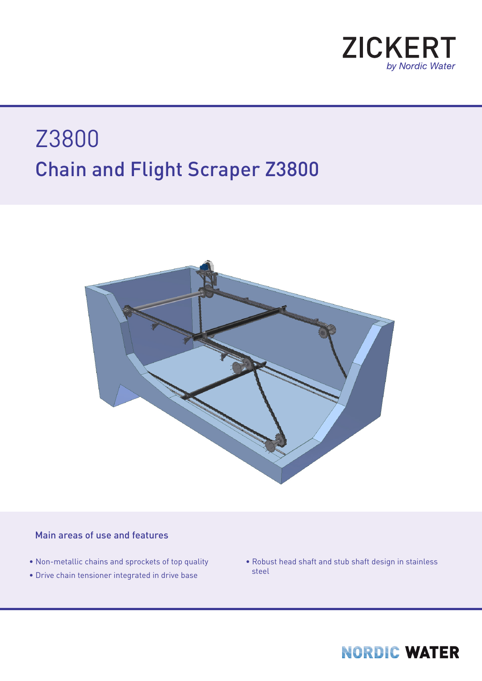

## Chain and Flight Scraper Z3800 Z3800



## Main areas of use and features

- Non-metallic chains and sprockets of top quality
- Drive chain tensioner integrated in drive base
- Robust head shaft and stub shaft design in stainless steel

## **NORDIC WATER**